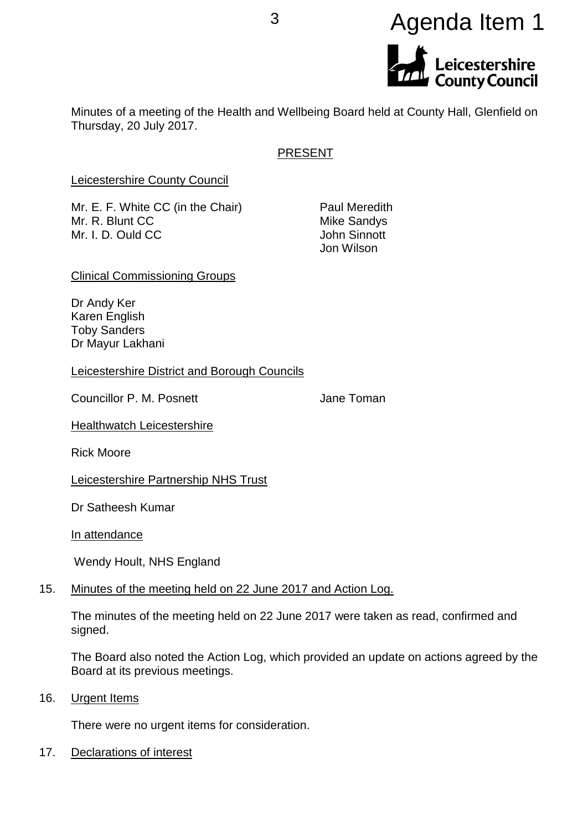# <sup>3</sup> Agenda Item 1Leicestershire<br>County Council

Minutes of a meeting of the Health and Wellbeing Board held at County Hall, Glenfield on Thursday, 20 July 2017.

# PRESENT

Leicestershire County Council

Mr. E. F. White CC (in the Chair) Paul Meredith Mr. R. Blunt CC Mike Sandys Mr. I. D. Ould CC **John Sinnott** 

Jon Wilson

Clinical Commissioning Groups

Dr Andy Ker Karen English Toby Sanders Dr Mayur Lakhani

Leicestershire District and Borough Councils

Councillor P. M. Posnett **Councillor P. M. Posnett** Jane Toman

**Healthwatch Leicestershire** 

Rick Moore

Leicestershire Partnership NHS Trust

Dr Satheesh Kumar

In attendance

Wendy Hoult, NHS England

## 15. Minutes of the meeting held on 22 June 2017 and Action Log.

The minutes of the meeting held on 22 June 2017 were taken as read, confirmed and signed.

The Board also noted the Action Log, which provided an update on actions agreed by the Board at its previous meetings.

16. Urgent Items

There were no urgent items for consideration.

17. Declarations of interest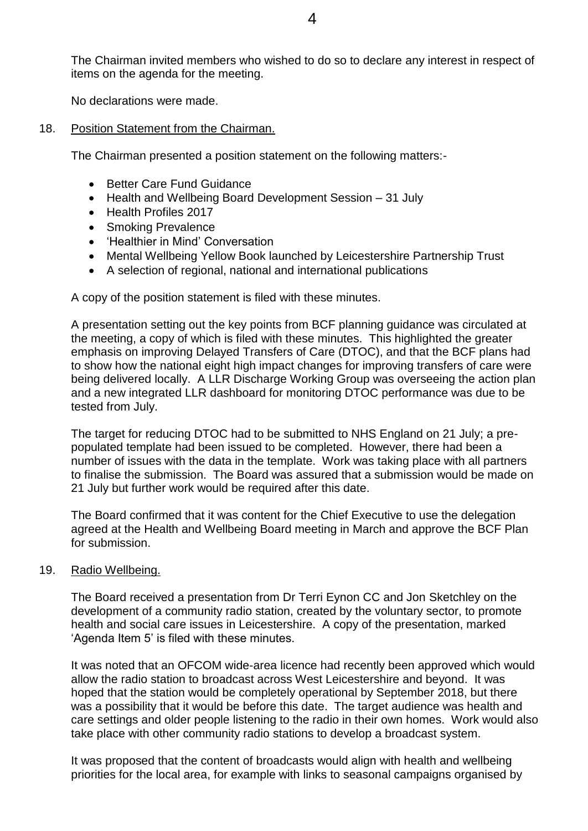The Chairman invited members who wished to do so to declare any interest in respect of items on the agenda for the meeting.

No declarations were made.

18. Position Statement from the Chairman.

The Chairman presented a position statement on the following matters:-

- Better Care Fund Guidance
- Health and Wellbeing Board Development Session 31 July
- Health Profiles 2017
- Smoking Prevalence
- Healthier in Mind' Conversation
- Mental Wellbeing Yellow Book launched by Leicestershire Partnership Trust
- A selection of regional, national and international publications

A copy of the position statement is filed with these minutes.

A presentation setting out the key points from BCF planning guidance was circulated at the meeting, a copy of which is filed with these minutes. This highlighted the greater emphasis on improving Delayed Transfers of Care (DTOC), and that the BCF plans had to show how the national eight high impact changes for improving transfers of care were being delivered locally. A LLR Discharge Working Group was overseeing the action plan and a new integrated LLR dashboard for monitoring DTOC performance was due to be tested from July.

The target for reducing DTOC had to be submitted to NHS England on 21 July; a prepopulated template had been issued to be completed. However, there had been a number of issues with the data in the template. Work was taking place with all partners to finalise the submission. The Board was assured that a submission would be made on 21 July but further work would be required after this date.

The Board confirmed that it was content for the Chief Executive to use the delegation agreed at the Health and Wellbeing Board meeting in March and approve the BCF Plan for submission.

#### 19. Radio Wellbeing.

The Board received a presentation from Dr Terri Eynon CC and Jon Sketchley on the development of a community radio station, created by the voluntary sector, to promote health and social care issues in Leicestershire. A copy of the presentation, marked 'Agenda Item 5' is filed with these minutes.

It was noted that an OFCOM wide-area licence had recently been approved which would allow the radio station to broadcast across West Leicestershire and beyond. It was hoped that the station would be completely operational by September 2018, but there was a possibility that it would be before this date. The target audience was health and care settings and older people listening to the radio in their own homes. Work would also take place with other community radio stations to develop a broadcast system.

It was proposed that the content of broadcasts would align with health and wellbeing priorities for the local area, for example with links to seasonal campaigns organised by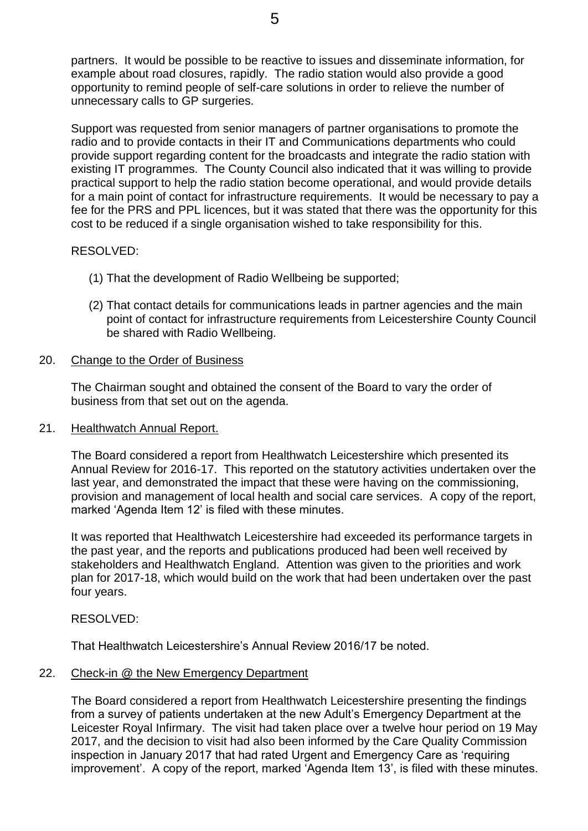partners. It would be possible to be reactive to issues and disseminate information, for example about road closures, rapidly. The radio station would also provide a good opportunity to remind people of self-care solutions in order to relieve the number of unnecessary calls to GP surgeries.

Support was requested from senior managers of partner organisations to promote the radio and to provide contacts in their IT and Communications departments who could provide support regarding content for the broadcasts and integrate the radio station with existing IT programmes. The County Council also indicated that it was willing to provide practical support to help the radio station become operational, and would provide details for a main point of contact for infrastructure requirements. It would be necessary to pay a fee for the PRS and PPL licences, but it was stated that there was the opportunity for this cost to be reduced if a single organisation wished to take responsibility for this.

## RESOLVED:

- (1) That the development of Radio Wellbeing be supported;
- (2) That contact details for communications leads in partner agencies and the main point of contact for infrastructure requirements from Leicestershire County Council be shared with Radio Wellbeing.

## 20. Change to the Order of Business

The Chairman sought and obtained the consent of the Board to vary the order of business from that set out on the agenda.

## 21. Healthwatch Annual Report.

The Board considered a report from Healthwatch Leicestershire which presented its Annual Review for 2016-17. This reported on the statutory activities undertaken over the last year, and demonstrated the impact that these were having on the commissioning, provision and management of local health and social care services. A copy of the report, marked 'Agenda Item 12' is filed with these minutes.

It was reported that Healthwatch Leicestershire had exceeded its performance targets in the past year, and the reports and publications produced had been well received by stakeholders and Healthwatch England. Attention was given to the priorities and work plan for 2017-18, which would build on the work that had been undertaken over the past four years.

## RESOLVED:

That Healthwatch Leicestershire's Annual Review 2016/17 be noted.

## 22. Check-in @ the New Emergency Department

The Board considered a report from Healthwatch Leicestershire presenting the findings from a survey of patients undertaken at the new Adult's Emergency Department at the Leicester Royal Infirmary. The visit had taken place over a twelve hour period on 19 May 2017, and the decision to visit had also been informed by the Care Quality Commission inspection in January 2017 that had rated Urgent and Emergency Care as 'requiring improvement'. A copy of the report, marked 'Agenda Item 13', is filed with these minutes.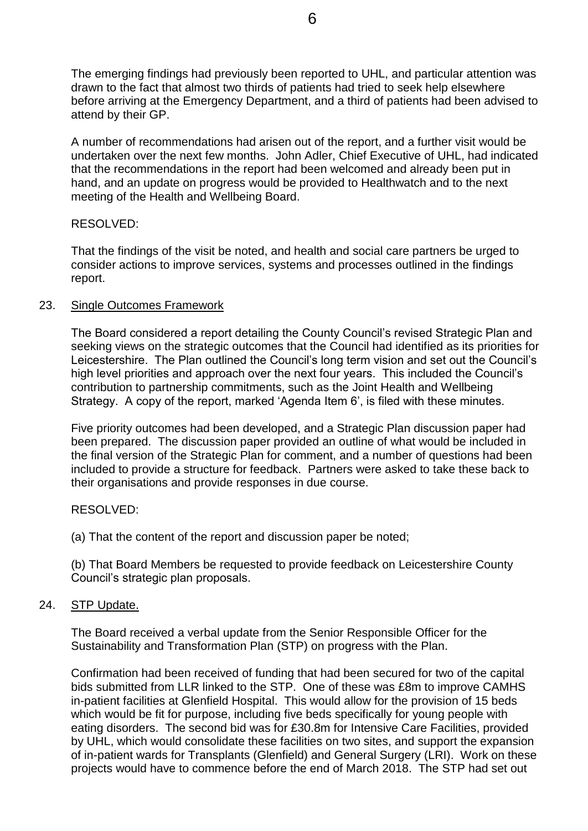The emerging findings had previously been reported to UHL, and particular attention was drawn to the fact that almost two thirds of patients had tried to seek help elsewhere before arriving at the Emergency Department, and a third of patients had been advised to attend by their GP.

A number of recommendations had arisen out of the report, and a further visit would be undertaken over the next few months. John Adler, Chief Executive of UHL, had indicated that the recommendations in the report had been welcomed and already been put in hand, and an update on progress would be provided to Healthwatch and to the next meeting of the Health and Wellbeing Board.

## RESOLVED:

That the findings of the visit be noted, and health and social care partners be urged to consider actions to improve services, systems and processes outlined in the findings report.

## 23. Single Outcomes Framework

The Board considered a report detailing the County Council's revised Strategic Plan and seeking views on the strategic outcomes that the Council had identified as its priorities for Leicestershire. The Plan outlined the Council's long term vision and set out the Council's high level priorities and approach over the next four years. This included the Council's contribution to partnership commitments, such as the Joint Health and Wellbeing Strategy. A copy of the report, marked 'Agenda Item 6', is filed with these minutes.

Five priority outcomes had been developed, and a Strategic Plan discussion paper had been prepared. The discussion paper provided an outline of what would be included in the final version of the Strategic Plan for comment, and a number of questions had been included to provide a structure for feedback. Partners were asked to take these back to their organisations and provide responses in due course.

# RESOLVED:

(a) That the content of the report and discussion paper be noted;

(b) That Board Members be requested to provide feedback on Leicestershire County Council's strategic plan proposals.

# 24. STP Update.

The Board received a verbal update from the Senior Responsible Officer for the Sustainability and Transformation Plan (STP) on progress with the Plan.

Confirmation had been received of funding that had been secured for two of the capital bids submitted from LLR linked to the STP. One of these was £8m to improve CAMHS in-patient facilities at Glenfield Hospital. This would allow for the provision of 15 beds which would be fit for purpose, including five beds specifically for young people with eating disorders. The second bid was for £30.8m for Intensive Care Facilities, provided by UHL, which would consolidate these facilities on two sites, and support the expansion of in-patient wards for Transplants (Glenfield) and General Surgery (LRI). Work on these projects would have to commence before the end of March 2018. The STP had set out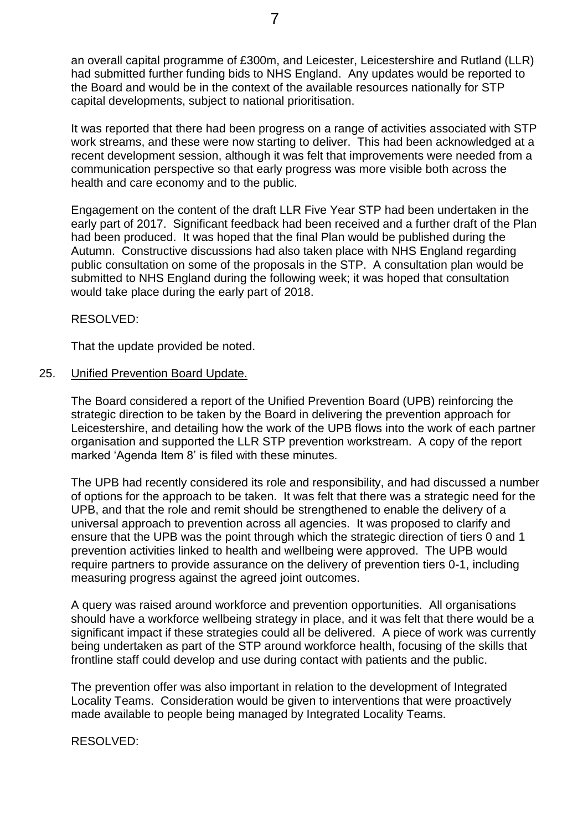an overall capital programme of £300m, and Leicester, Leicestershire and Rutland (LLR) had submitted further funding bids to NHS England. Any updates would be reported to the Board and would be in the context of the available resources nationally for STP capital developments, subject to national prioritisation.

It was reported that there had been progress on a range of activities associated with STP work streams, and these were now starting to deliver. This had been acknowledged at a recent development session, although it was felt that improvements were needed from a communication perspective so that early progress was more visible both across the health and care economy and to the public.

Engagement on the content of the draft LLR Five Year STP had been undertaken in the early part of 2017. Significant feedback had been received and a further draft of the Plan had been produced. It was hoped that the final Plan would be published during the Autumn. Constructive discussions had also taken place with NHS England regarding public consultation on some of the proposals in the STP. A consultation plan would be submitted to NHS England during the following week; it was hoped that consultation would take place during the early part of 2018.

RESOLVED:

That the update provided be noted.

#### 25. Unified Prevention Board Update.

The Board considered a report of the Unified Prevention Board (UPB) reinforcing the strategic direction to be taken by the Board in delivering the prevention approach for Leicestershire, and detailing how the work of the UPB flows into the work of each partner organisation and supported the LLR STP prevention workstream. A copy of the report marked 'Agenda Item 8' is filed with these minutes.

The UPB had recently considered its role and responsibility, and had discussed a number of options for the approach to be taken. It was felt that there was a strategic need for the UPB, and that the role and remit should be strengthened to enable the delivery of a universal approach to prevention across all agencies. It was proposed to clarify and ensure that the UPB was the point through which the strategic direction of tiers 0 and 1 prevention activities linked to health and wellbeing were approved. The UPB would require partners to provide assurance on the delivery of prevention tiers 0-1, including measuring progress against the agreed joint outcomes.

A query was raised around workforce and prevention opportunities. All organisations should have a workforce wellbeing strategy in place, and it was felt that there would be a significant impact if these strategies could all be delivered. A piece of work was currently being undertaken as part of the STP around workforce health, focusing of the skills that frontline staff could develop and use during contact with patients and the public.

The prevention offer was also important in relation to the development of Integrated Locality Teams. Consideration would be given to interventions that were proactively made available to people being managed by Integrated Locality Teams.

RESOLVED: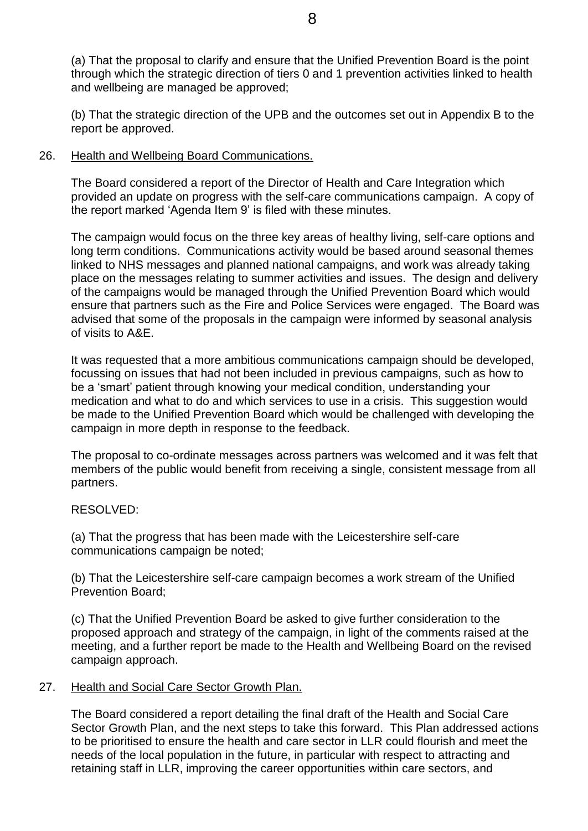(a) That the proposal to clarify and ensure that the Unified Prevention Board is the point through which the strategic direction of tiers 0 and 1 prevention activities linked to health and wellbeing are managed be approved;

(b) That the strategic direction of the UPB and the outcomes set out in Appendix B to the report be approved.

## 26. Health and Wellbeing Board Communications.

The Board considered a report of the Director of Health and Care Integration which provided an update on progress with the self-care communications campaign. A copy of the report marked 'Agenda Item 9' is filed with these minutes.

The campaign would focus on the three key areas of healthy living, self-care options and long term conditions. Communications activity would be based around seasonal themes linked to NHS messages and planned national campaigns, and work was already taking place on the messages relating to summer activities and issues. The design and delivery of the campaigns would be managed through the Unified Prevention Board which would ensure that partners such as the Fire and Police Services were engaged. The Board was advised that some of the proposals in the campaign were informed by seasonal analysis of visits to A&E.

It was requested that a more ambitious communications campaign should be developed, focussing on issues that had not been included in previous campaigns, such as how to be a 'smart' patient through knowing your medical condition, understanding your medication and what to do and which services to use in a crisis. This suggestion would be made to the Unified Prevention Board which would be challenged with developing the campaign in more depth in response to the feedback.

The proposal to co-ordinate messages across partners was welcomed and it was felt that members of the public would benefit from receiving a single, consistent message from all partners.

## RESOLVED:

(a) That the progress that has been made with the Leicestershire self-care communications campaign be noted;

(b) That the Leicestershire self-care campaign becomes a work stream of the Unified Prevention Board;

(c) That the Unified Prevention Board be asked to give further consideration to the proposed approach and strategy of the campaign, in light of the comments raised at the meeting, and a further report be made to the Health and Wellbeing Board on the revised campaign approach.

## 27. Health and Social Care Sector Growth Plan.

The Board considered a report detailing the final draft of the Health and Social Care Sector Growth Plan, and the next steps to take this forward. This Plan addressed actions to be prioritised to ensure the health and care sector in LLR could flourish and meet the needs of the local population in the future, in particular with respect to attracting and retaining staff in LLR, improving the career opportunities within care sectors, and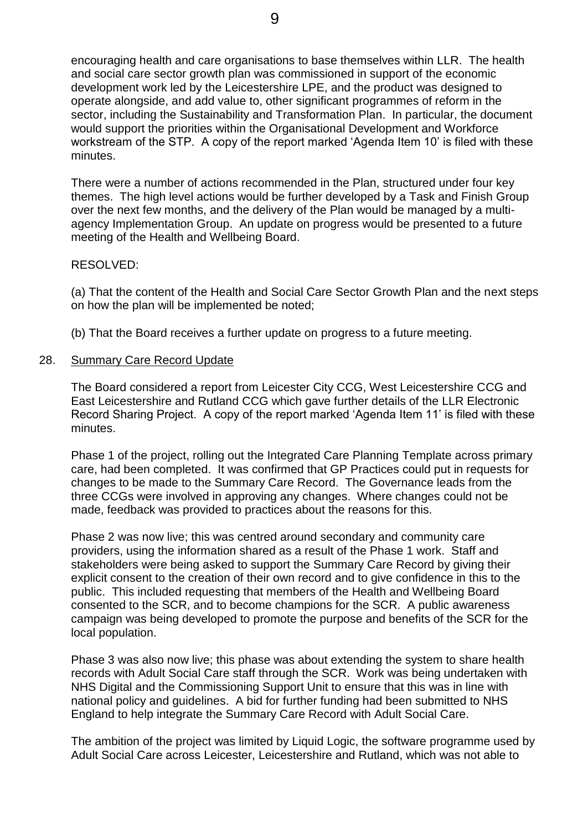encouraging health and care organisations to base themselves within LLR. The health and social care sector growth plan was commissioned in support of the economic development work led by the Leicestershire LPE, and the product was designed to operate alongside, and add value to, other significant programmes of reform in the sector, including the Sustainability and Transformation Plan. In particular, the document would support the priorities within the Organisational Development and Workforce workstream of the STP. A copy of the report marked 'Agenda Item 10' is filed with these minutes.

There were a number of actions recommended in the Plan, structured under four key themes. The high level actions would be further developed by a Task and Finish Group over the next few months, and the delivery of the Plan would be managed by a multiagency Implementation Group. An update on progress would be presented to a future meeting of the Health and Wellbeing Board.

#### RESOLVED:

(a) That the content of the Health and Social Care Sector Growth Plan and the next steps on how the plan will be implemented be noted;

(b) That the Board receives a further update on progress to a future meeting.

#### 28. Summary Care Record Update

The Board considered a report from Leicester City CCG, West Leicestershire CCG and East Leicestershire and Rutland CCG which gave further details of the LLR Electronic Record Sharing Project. A copy of the report marked 'Agenda Item 11' is filed with these minutes.

Phase 1 of the project, rolling out the Integrated Care Planning Template across primary care, had been completed. It was confirmed that GP Practices could put in requests for changes to be made to the Summary Care Record. The Governance leads from the three CCGs were involved in approving any changes. Where changes could not be made, feedback was provided to practices about the reasons for this.

Phase 2 was now live; this was centred around secondary and community care providers, using the information shared as a result of the Phase 1 work. Staff and stakeholders were being asked to support the Summary Care Record by giving their explicit consent to the creation of their own record and to give confidence in this to the public. This included requesting that members of the Health and Wellbeing Board consented to the SCR, and to become champions for the SCR. A public awareness campaign was being developed to promote the purpose and benefits of the SCR for the local population.

Phase 3 was also now live; this phase was about extending the system to share health records with Adult Social Care staff through the SCR. Work was being undertaken with NHS Digital and the Commissioning Support Unit to ensure that this was in line with national policy and guidelines. A bid for further funding had been submitted to NHS England to help integrate the Summary Care Record with Adult Social Care.

The ambition of the project was limited by Liquid Logic, the software programme used by Adult Social Care across Leicester, Leicestershire and Rutland, which was not able to